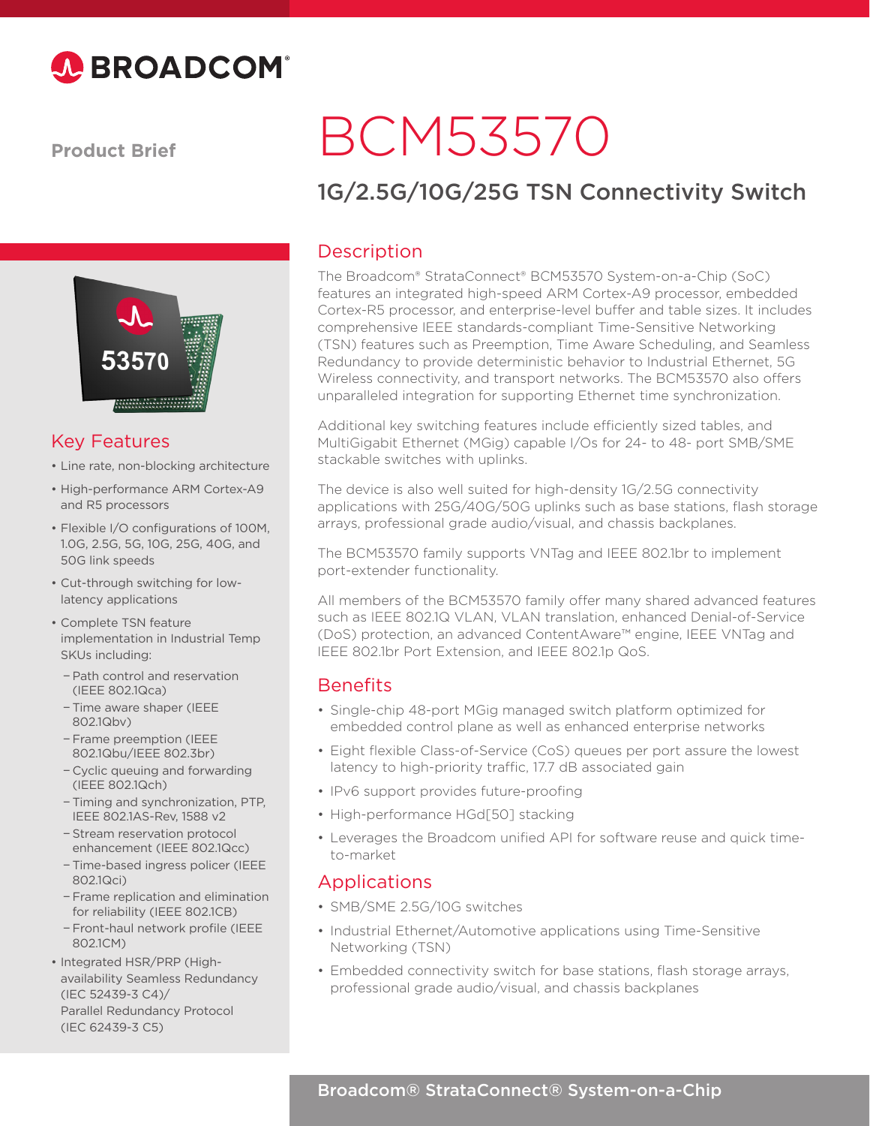

**Product Brief**



#### Key Features

- Line rate, non-blocking architecture
- High-performance ARM Cortex-A9 and R5 processors
- Flexible I/O configurations of 100M, 1.0G, 2.5G, 5G, 10G, 25G, 40G, and 50G link speeds
- Cut-through switching for lowlatency applications
- Complete TSN feature implementation in Industrial Temp SKUs including:
	- − Path control and reservation (IEEE 802.1Qca)
	- − Time aware shaper (IEEE 802.1Qbv)
	- − Frame preemption (IEEE 802.1Qbu/IEEE 802.3br)
	- − Cyclic queuing and forwarding (IEEE 802.1Qch)
	- − Timing and synchronization, PTP, IEEE 802.1AS-Rev, 1588 v2
	- − Stream reservation protocol enhancement (IEEE 802.1Qcc)
	- − Time-based ingress policer (IEEE 802.1Qci)
	- − Frame replication and elimination for reliability (IEEE 802.1CB)
	- − Front-haul network profile (IEEE 802.1CM)
- Integrated HSR/PRP (Highavailability Seamless Redundancy (IEC 52439-3 C4)/ Parallel Redundancy Protocol (IEC 62439-3 C5)

# BCM53570

# 1G/2.5G/10G/25G TSN Connectivity Switch

### **Description**

The Broadcom® StrataConnect® BCM53570 System-on-a-Chip (SoC) features an integrated high-speed ARM Cortex-A9 processor, embedded Cortex-R5 processor, and enterprise-level buffer and table sizes. It includes comprehensive IEEE standards-compliant Time-Sensitive Networking (TSN) features such as Preemption, Time Aware Scheduling, and Seamless Redundancy to provide deterministic behavior to Industrial Ethernet, 5G Wireless connectivity, and transport networks. The BCM53570 also offers unparalleled integration for supporting Ethernet time synchronization.

Additional key switching features include efficiently sized tables, and MultiGigabit Ethernet (MGig) capable I/Os for 24- to 48- port SMB/SME stackable switches with uplinks.

The device is also well suited for high-density 1G/2.5G connectivity applications with 25G/40G/50G uplinks such as base stations, flash storage arrays, professional grade audio/visual, and chassis backplanes.

The BCM53570 family supports VNTag and IEEE 802.1br to implement port-extender functionality.

All members of the BCM53570 family offer many shared advanced features such as IEEE 802.1Q VLAN, VLAN translation, enhanced Denial-of-Service (DoS) protection, an advanced ContentAware™ engine, IEEE VNTag and IEEE 802.1br Port Extension, and IEEE 802.1p QoS.

## **Benefits**

- Single-chip 48-port MGig managed switch platform optimized for embedded control plane as well as enhanced enterprise networks
- Eight flexible Class-of-Service (CoS) queues per port assure the lowest latency to high-priority traffic, 17.7 dB associated gain
- IPv6 support provides future-proofing
- High-performance HGd[50] stacking
- Leverages the Broadcom unified API for software reuse and quick timeto-market

#### Applications

- SMB/SME 2.5G/10G switches
- Industrial Ethernet/Automotive applications using Time-Sensitive Networking (TSN)
- Embedded connectivity switch for base stations, flash storage arrays, professional grade audio/visual, and chassis backplanes